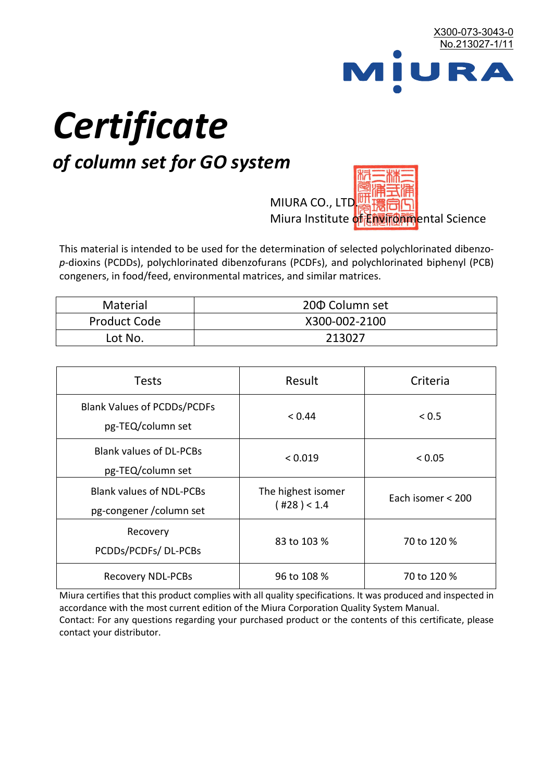

# *Certificate*

## *of column set for GO system*

MIURA CO., LTD. Miura Institute of 正版而解ental Science

This material is intended to be used for the determination of selected polychlorinated dibenzo*p*-dioxins (PCDDs), polychlorinated dibenzofurans (PCDFs), and polychlorinated biphenyl (PCB) congeners, in food/feed, environmental matrices, and similar matrices.

| <b>Material</b>     | 200 Column set |  |
|---------------------|----------------|--|
| <b>Product Code</b> | X300-002-2100  |  |
| Lot No.             | 213027         |  |

| <b>Tests</b>                                                | Result                                  | Criteria          |  |
|-------------------------------------------------------------|-----------------------------------------|-------------------|--|
| <b>Blank Values of PCDDs/PCDFs</b><br>pg-TEQ/column set     | < 0.44                                  | < 0.5             |  |
| <b>Blank values of DL-PCBs</b><br>pg-TEQ/column set         | < 0.019                                 | < 0.05            |  |
| <b>Blank values of NDL-PCBs</b><br>pg-congener / column set | The highest isomer<br>$($ #28 $)$ < 1.4 | Each isomer < 200 |  |
| Recovery<br>PCDDs/PCDFs/DL-PCBs                             | 83 to 103 %                             | 70 to 120 %       |  |
| <b>Recovery NDL-PCBs</b>                                    | 96 to 108 %                             | 70 to 120 %       |  |

Miura certifies that this product complies with all quality specifications. It was produced and inspected in accordance with the most current edition of the Miura Corporation Quality System Manual. Contact: For any questions regarding your purchased product or the contents of this certificate, please contact your distributor.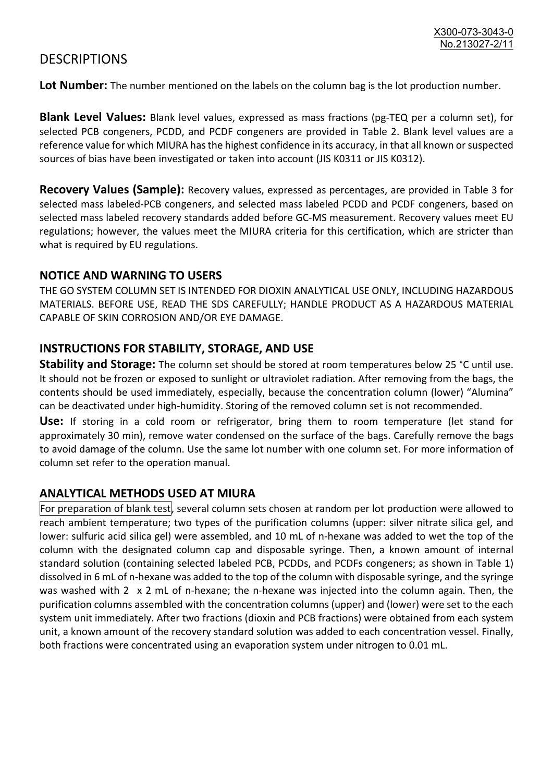### **DESCRIPTIONS**

**Lot Number:** The number mentioned on the labels on the column bag is the lot production number.

**Blank Level Values:** Blank level values, expressed as mass fractions (pg-TEQ per a column set), for selected PCB congeners, PCDD, and PCDF congeners are provided in Table 2. Blank level values are a reference value for which MIURA has the highest confidence in its accuracy, in that all known or suspected sources of bias have been investigated or taken into account (JIS K0311 or JIS K0312).

**Recovery Values (Sample):** Recovery values, expressed as percentages, are provided in Table 3 for selected mass labeled-PCB congeners, and selected mass labeled PCDD and PCDF congeners, based on selected mass labeled recovery standards added before GC-MS measurement. Recovery values meet EU regulations; however, the values meet the MIURA criteria for this certification, which are stricter than what is required by EU regulations.

#### **NOTICE AND WARNING TO USERS**

THE GO SYSTEM COLUMN SET IS INTENDED FOR DIOXIN ANALYTICAL USE ONLY, INCLUDING HAZARDOUS MATERIALS. BEFORE USE, READ THE SDS CAREFULLY; HANDLE PRODUCT AS A HAZARDOUS MATERIAL CAPABLE OF SKIN CORROSION AND/OR EYE DAMAGE.

#### **INSTRUCTIONS FOR STABILITY, STORAGE, AND USE**

**Stability and Storage:** The column set should be stored at room temperatures below 25 °C until use. It should not be frozen or exposed to sunlight or ultraviolet radiation. After removing from the bags, the contents should be used immediately, especially, because the concentration column (lower) "Alumina" can be deactivated under high-humidity. Storing of the removed column set is not recommended.

**Use:** If storing in a cold room or refrigerator, bring them to room temperature (let stand for approximately 30 min), remove water condensed on the surface of the bags. Carefully remove the bags to avoid damage of the column. Use the same lot number with one column set. For more information of column set refer to the operation manual.

#### **ANALYTICAL METHODS USED AT MIURA**

For preparation of blank test, several column sets chosen at random per lot production were allowed to reach ambient temperature; two types of the purification columns (upper: silver nitrate silica gel, and lower: sulfuric acid silica gel) were assembled, and 10 mL of n-hexane was added to wet the top of the column with the designated column cap and disposable syringe. Then, a known amount of internal standard solution (containing selected labeled PCB, PCDDs, and PCDFs congeners; as shown in Table 1) dissolved in 6 mL of n-hexane was added to the top of the column with disposable syringe, and the syringe was washed with 2 x 2 mL of n-hexane; the n-hexane was injected into the column again. Then, the purification columns assembled with the concentration columns (upper) and (lower) were set to the each system unit immediately. After two fractions (dioxin and PCB fractions) were obtained from each system unit, a known amount of the recovery standard solution was added to each concentration vessel. Finally, both fractions were concentrated using an evaporation system under nitrogen to 0.01 mL.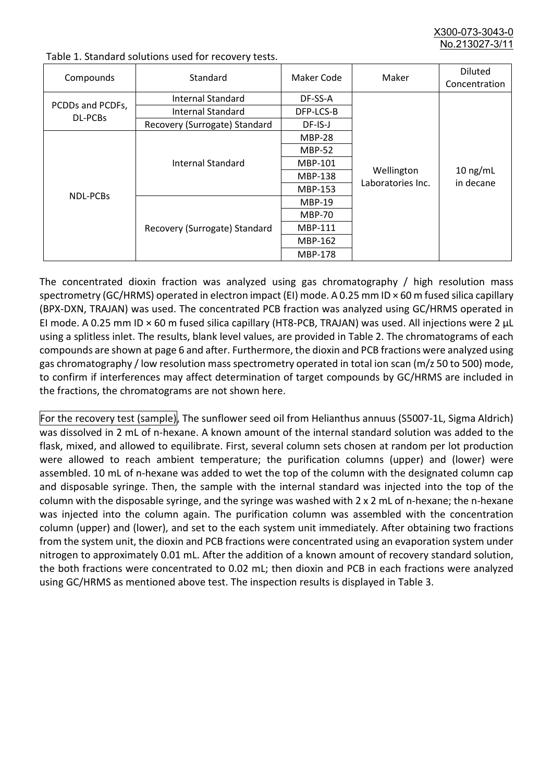X300-073-3043-0 No.213027-3/11

| Compounds                   | Standard                      | Maker Code     | Maker                           | <b>Diluted</b><br>Concentration |
|-----------------------------|-------------------------------|----------------|---------------------------------|---------------------------------|
| PCDDs and PCDFs,<br>DL-PCBs | Internal Standard             | DF-SS-A        |                                 |                                 |
|                             | <b>Internal Standard</b>      | DFP-LCS-B      |                                 |                                 |
|                             | Recovery (Surrogate) Standard | DF-IS-J        | Wellington<br>Laboratories Inc. | $10$ ng/mL<br>in decane         |
| <b>NDL-PCBs</b>             | Internal Standard             | <b>MBP-28</b>  |                                 |                                 |
|                             |                               | <b>MBP-52</b>  |                                 |                                 |
|                             |                               | MBP-101        |                                 |                                 |
|                             |                               | <b>MBP-138</b> |                                 |                                 |
|                             |                               | MBP-153        |                                 |                                 |
|                             | Recovery (Surrogate) Standard | <b>MBP-19</b>  |                                 |                                 |
|                             |                               | <b>MBP-70</b>  |                                 |                                 |
|                             |                               | MBP-111        |                                 |                                 |
|                             |                               | MBP-162        |                                 |                                 |
|                             |                               | <b>MBP-178</b> |                                 |                                 |

Table 1. Standard solutions used for recovery tests.

The concentrated dioxin fraction was analyzed using gas chromatography / high resolution mass spectrometry (GC/HRMS) operated in electron impact (EI) mode. A 0.25 mm ID × 60 m fused silica capillary (BPX-DXN, TRAJAN) was used. The concentrated PCB fraction was analyzed using GC/HRMS operated in EI mode. A 0.25 mm ID × 60 m fused silica capillary (HT8-PCB, TRAJAN) was used. All injections were 2 μL using a splitless inlet. The results, blank level values, are provided in Table 2. The chromatograms of each compounds are shown at page 6 and after. Furthermore, the dioxin and PCB fractions were analyzed using gas chromatography / low resolution mass spectrometry operated in total ion scan (m/z 50 to 500) mode, to confirm if interferences may affect determination of target compounds by GC/HRMS are included in the fractions, the chromatograms are not shown here.

For the recovery test (sample), The sunflower seed oil from Helianthus annuus (S5007-1L, Sigma Aldrich) was dissolved in 2 mL of n-hexane. A known amount of the internal standard solution was added to the flask, mixed, and allowed to equilibrate. First, several column sets chosen at random per lot production were allowed to reach ambient temperature; the purification columns (upper) and (lower) were assembled. 10 mL of n-hexane was added to wet the top of the column with the designated column cap and disposable syringe. Then, the sample with the internal standard was injected into the top of the column with the disposable syringe, and the syringe was washed with 2 x 2 mL of n-hexane; the n-hexane was injected into the column again. The purification column was assembled with the concentration column (upper) and (lower), and set to the each system unit immediately. After obtaining two fractions from the system unit, the dioxin and PCB fractions were concentrated using an evaporation system under nitrogen to approximately 0.01 mL. After the addition of a known amount of recovery standard solution, the both fractions were concentrated to 0.02 mL; then dioxin and PCB in each fractions were analyzed using GC/HRMS as mentioned above test. The inspection results is displayed in Table 3.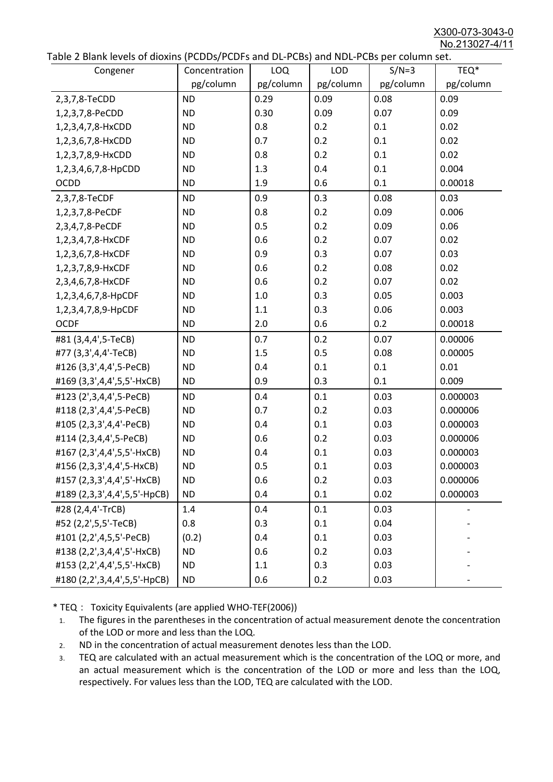X300-073-3043-0 No.213027-4/11

|  |  | Table 2 Blank levels of dioxins (PCDDs/PCDFs and DL-PCBs) and NDL-PCBs per column set. |
|--|--|----------------------------------------------------------------------------------------|
|--|--|----------------------------------------------------------------------------------------|

| able 2 Dialik levels of dioxilis (PCDDs/PCDI's and DL-PCDs) and NDL-PCDs per coldinii set.<br>Congener | Concentration | LOQ       | <b>LOD</b> | $S/N=3$   | TEQ*      |
|--------------------------------------------------------------------------------------------------------|---------------|-----------|------------|-----------|-----------|
|                                                                                                        | pg/column     | pg/column | pg/column  | pg/column | pg/column |
| 2,3,7,8-TeCDD                                                                                          | <b>ND</b>     | 0.29      | 0.09       | 0.08      | 0.09      |
| 1,2,3,7,8-PeCDD                                                                                        | <b>ND</b>     | 0.30      | 0.09       | 0.07      | 0.09      |
| 1,2,3,4,7,8-HxCDD                                                                                      | <b>ND</b>     | 0.8       | 0.2        | 0.1       | 0.02      |
| 1,2,3,6,7,8-HxCDD                                                                                      | <b>ND</b>     | 0.7       | 0.2        | 0.1       | 0.02      |
| 1,2,3,7,8,9-HxCDD                                                                                      | <b>ND</b>     | 0.8       | 0.2        | 0.1       | 0.02      |
| 1,2,3,4,6,7,8-HpCDD                                                                                    | <b>ND</b>     | 1.3       | 0.4        | 0.1       | 0.004     |
| <b>OCDD</b>                                                                                            | <b>ND</b>     | 1.9       | 0.6        | 0.1       | 0.00018   |
| 2,3,7,8-TeCDF                                                                                          | <b>ND</b>     | 0.9       | 0.3        | 0.08      | 0.03      |
| 1,2,3,7,8-PeCDF                                                                                        | <b>ND</b>     | 0.8       | 0.2        | 0.09      | 0.006     |
| 2,3,4,7,8-PeCDF                                                                                        | <b>ND</b>     | 0.5       | 0.2        | 0.09      | 0.06      |
| 1,2,3,4,7,8-HxCDF                                                                                      | <b>ND</b>     | 0.6       | 0.2        | 0.07      | 0.02      |
| 1,2,3,6,7,8-HxCDF                                                                                      | <b>ND</b>     | 0.9       | 0.3        | 0.07      | 0.03      |
| 1,2,3,7,8,9-HxCDF                                                                                      | <b>ND</b>     | 0.6       | 0.2        | 0.08      | 0.02      |
| 2,3,4,6,7,8-HxCDF                                                                                      | <b>ND</b>     | 0.6       | 0.2        | 0.07      | 0.02      |
| 1,2,3,4,6,7,8-HpCDF                                                                                    | <b>ND</b>     | 1.0       | 0.3        | 0.05      | 0.003     |
| 1,2,3,4,7,8,9-HpCDF                                                                                    | <b>ND</b>     | 1.1       | 0.3        | 0.06      | 0.003     |
| <b>OCDF</b>                                                                                            | <b>ND</b>     | 2.0       | 0.6        | 0.2       | 0.00018   |
| #81 (3,4,4',5-TeCB)                                                                                    | <b>ND</b>     | 0.7       | 0.2        | 0.07      | 0.00006   |
| #77 (3,3',4,4'-TeCB)                                                                                   | <b>ND</b>     | 1.5       | 0.5        | 0.08      | 0.00005   |
| #126 (3,3',4,4',5-PeCB)                                                                                | <b>ND</b>     | 0.4       | 0.1        | 0.1       | 0.01      |
| #169 (3,3',4,4',5,5'-HxCB)                                                                             | <b>ND</b>     | 0.9       | 0.3        | 0.1       | 0.009     |
| #123 (2',3,4,4',5-PeCB)                                                                                | <b>ND</b>     | 0.4       | 0.1        | 0.03      | 0.000003  |
| #118 (2,3',4,4',5-PeCB)                                                                                | <b>ND</b>     | 0.7       | 0.2        | 0.03      | 0.000006  |
| #105 (2,3,3',4,4'-PeCB)                                                                                | <b>ND</b>     | 0.4       | 0.1        | 0.03      | 0.000003  |
| #114 (2,3,4,4',5-PeCB)                                                                                 | <b>ND</b>     | 0.6       | 0.2        | 0.03      | 0.000006  |
| #167 (2,3',4,4',5,5'-HxCB)                                                                             | <b>ND</b>     | 0.4       | 0.1        | 0.03      | 0.000003  |
| #156 (2,3,3',4,4',5-HxCB)                                                                              | <b>ND</b>     | 0.5       | 0.1        | 0.03      | 0.000003  |
| #157 (2,3,3',4,4',5'-HxCB)                                                                             | <b>ND</b>     | 0.6       | 0.2        | 0.03      | 0.000006  |
| #189 (2,3,3',4,4',5,5'-HpCB)                                                                           | <b>ND</b>     | 0.4       | 0.1        | 0.02      | 0.000003  |
| #28 (2,4,4'-TrCB)                                                                                      | 1.4           | 0.4       | 0.1        | 0.03      |           |
| #52 (2,2',5,5'-TeCB)                                                                                   | 0.8           | 0.3       | 0.1        | 0.04      |           |
| #101 (2,2',4,5,5'-PeCB)                                                                                | (0.2)         | 0.4       | 0.1        | 0.03      |           |
| #138 (2,2',3,4,4',5'-HxCB)                                                                             | <b>ND</b>     | 0.6       | 0.2        | 0.03      |           |
| #153 (2,2',4,4',5,5'-HxCB)                                                                             | <b>ND</b>     | 1.1       | 0.3        | 0.03      |           |
| #180 (2,2',3,4,4',5,5'-HpCB)                                                                           | <b>ND</b>     | 0.6       | 0.2        | 0.03      |           |

\* TEQ: Toxicity Equivalents (are applied WHO-TEF(2006))

- 1. The figures in the parentheses in the concentration of actual measurement denote the concentration of the LOD or more and less than the LOQ.
- 2. ND in the concentration of actual measurement denotes less than the LOD.
- 3. TEQ are calculated with an actual measurement which is the concentration of the LOQ or more, and an actual measurement which is the concentration of the LOD or more and less than the LOQ, respectively. For values less than the LOD, TEQ are calculated with the LOD.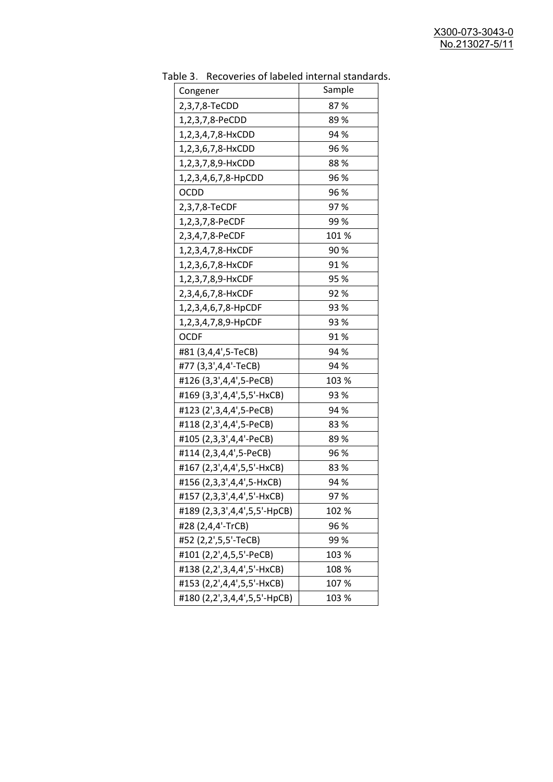| uwic J.<br><u>RECOVERTS OF RESERVED INTERNATION STATIONS</u> | Sample |
|--------------------------------------------------------------|--------|
| Congener                                                     |        |
| 2,3,7,8-TeCDD                                                | 87%    |
| 1,2,3,7,8-PeCDD                                              | 89%    |
| 1,2,3,4,7,8-HxCDD                                            | 94 %   |
| 1,2,3,6,7,8-HxCDD                                            | 96 %   |
| 1,2,3,7,8,9-HxCDD                                            | 88%    |
| 1,2,3,4,6,7,8-HpCDD                                          | 96 %   |
| <b>OCDD</b>                                                  | 96 %   |
| 2,3,7,8-TeCDF                                                | 97%    |
| 1,2,3,7,8-PeCDF                                              | 99%    |
| 2,3,4,7,8-PeCDF                                              | 101%   |
| 1,2,3,4,7,8-HxCDF                                            | 90%    |
| 1,2,3,6,7,8-HxCDF                                            | 91%    |
| 1,2,3,7,8,9-HxCDF                                            | 95 %   |
| 2,3,4,6,7,8-HxCDF                                            | 92 %   |
| 1,2,3,4,6,7,8-HpCDF                                          | 93 %   |
| 1,2,3,4,7,8,9-HpCDF                                          | 93 %   |
| <b>OCDF</b>                                                  | 91%    |
| #81 (3,4,4',5-TeCB)                                          | 94 %   |
| #77 (3,3',4,4'-TeCB)                                         | 94 %   |
| #126 (3,3',4,4',5-PeCB)                                      | 103 %  |
| #169 (3,3',4,4',5,5'-HxCB)                                   | 93 %   |
| #123 (2',3,4,4',5-PeCB)                                      | 94 %   |
| #118 (2,3',4,4',5-PeCB)                                      | 83%    |
| #105 (2,3,3',4,4'-PeCB)                                      | 89%    |
| #114 (2,3,4,4',5-PeCB)                                       | 96 %   |
| #167 (2,3',4,4',5,5'-HxCB)                                   | 83%    |
| #156 (2,3,3',4,4',5-HxCB)                                    | 94 %   |
| #157 (2,3,3',4,4',5'-HxCB)                                   | 97%    |
| #189 (2,3,3',4,4',5,5'-HpCB)                                 | 102 %  |
| #28 (2,4,4'-TrCB)                                            | 96 %   |
| #52 (2,2',5,5'-TeCB)                                         | 99%    |
| #101 (2,2',4,5,5'-PeCB)                                      | 103 %  |
| #138 (2,2',3,4,4',5'-HxCB)                                   | 108 %  |
| #153 (2,2',4,4',5,5'-HxCB)                                   | 107%   |
| #180 (2,2',3,4,4',5,5'-HpCB)                                 | 103 %  |

Table 3. Recoveries of labeled internal standards.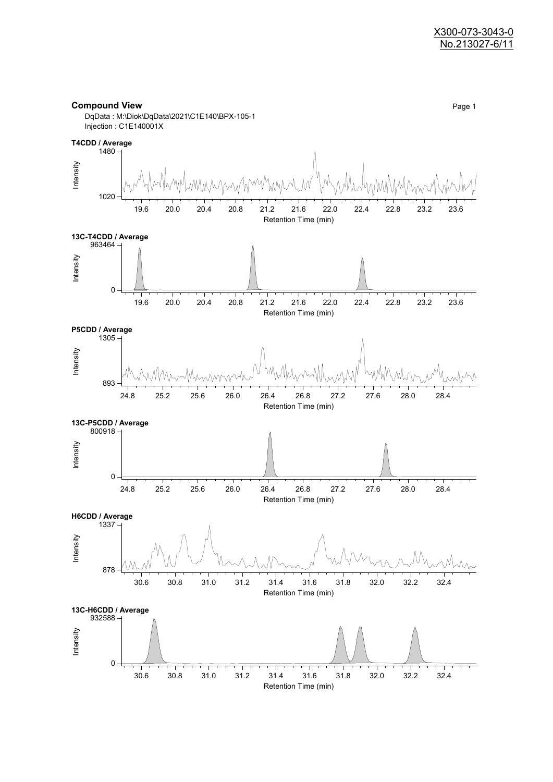#### **Compound View** Page 1

DqData : M:\Diok\DqData\2021\C1E140\BPX-105-1 Injection : C1E140001X

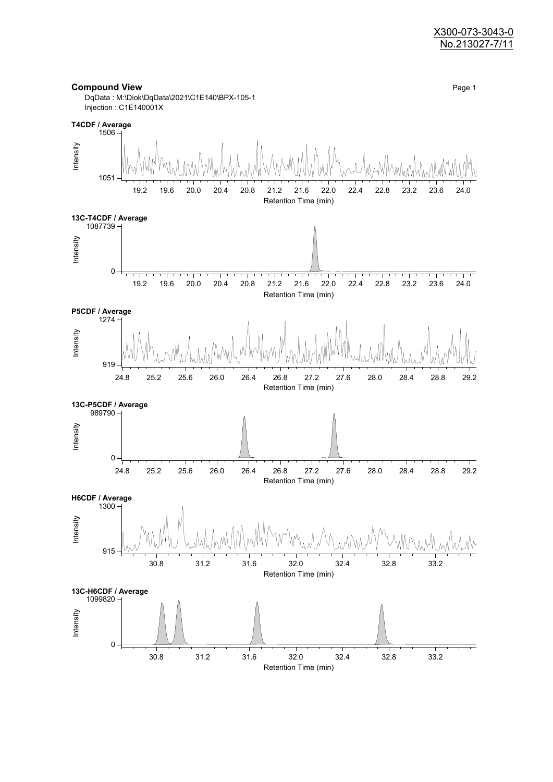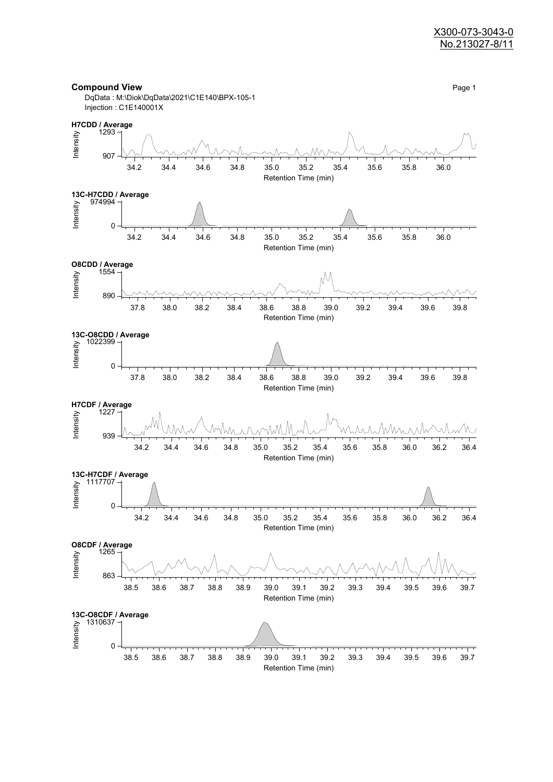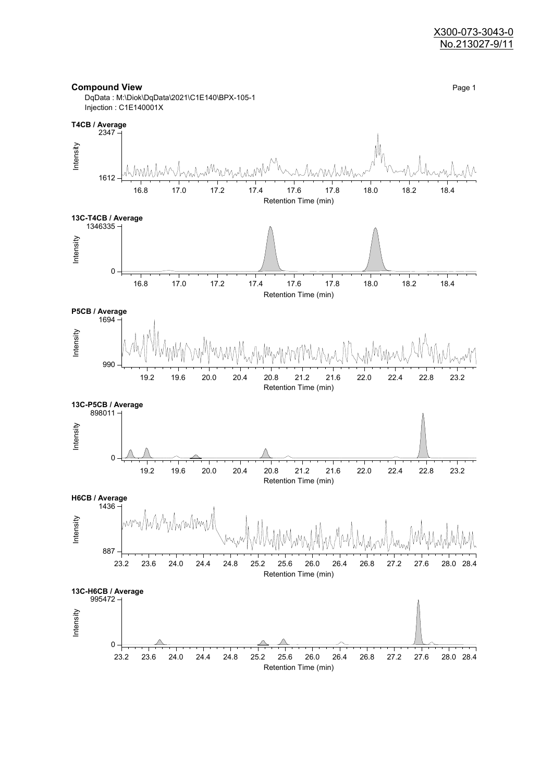

**Compound View** Page 1

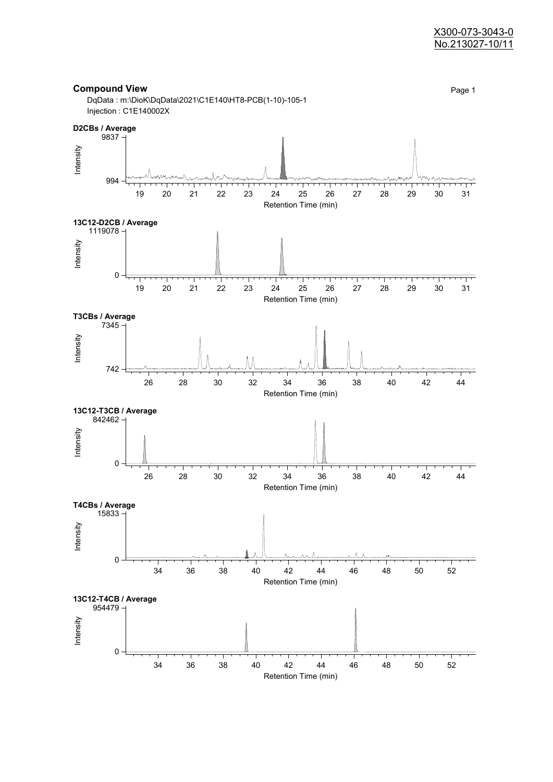